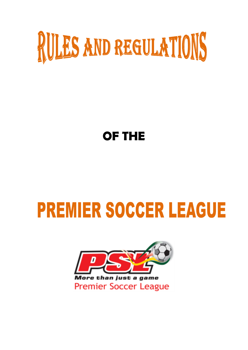

# **OF THE**

# **PREMIER SOCCER LEAGUE**

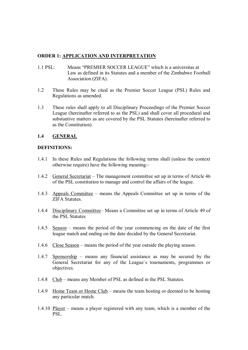# **ORDER 1: APPLICATION AND INTERPRETATION**

- 1.1 PSL: Means "PREMIER SOCCER LEAGUE" which is a universitas at Law as defined in its Statutes and a member of the Zimbabwe Football Association (ZIFA).
- 1.2 These Rules may be cited as the Premier Soccer League (PSL) Rules and Regulations as amended.
- 1.3 These rules shall apply to all Disciplinary Proceedings of the Premier Soccer League (hereinafter referred to as the PSL) and shall cover all procedural and substantive matters as are covered by the PSL Statutes (hereinafter referred to as the Constitution).

# **1.4 GENERAL**

# **DEFINITIONS:**

- 1.4.1 In these Rules and Regulations the following terms shall (unless the context otherwise require) have the following meaning:-
- 1.4.2 General Secretariat The management committee set up in terms of Article 46 of the PSL constitution to manage and control the affairs of the league.
- 1.4.3 Appeals Committee means the Appeals Committee set up in terms of the ZIFA Statutes.
- 1.4.4 Disciplinary Committee– Means a Committee set up in terms of Article 49 of the PSL Statutes
- 1.4.5 Season means the period of the year commencing on the date of the first league match and ending on the date decided by the General Secretariat.
- 1.4.6 Close Season means the period of the year outside the playing season.
- 1.4.7 Sponsorship means any financial assistance as may be secured by the General Secretariat for any of the League`s tournaments, programmes or objectives.
- 1.4.8 Club means any Member of PSL as defined in the PSL Statutes.
- 1.4.9 Home Team or Home Club means the team hosting or deemed to be hosting any particular match.
- 1.4.10 <u>Player</u> means a player registered with any team, which is a member of the PSL.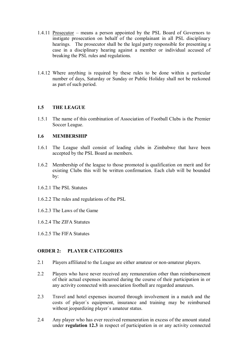- 1.4.11 Prosecutor means a person appointed by the PSL Board of Governors to instigate prosecution on behalf of the complainant in all PSL disciplinary hearings. The prosecutor shall be the legal party responsible for presenting a case in a disciplinary hearing against a member or individual accused of breaking the PSL rules and regulations.
- 1.4.12 Where anything is required by these rules to be done within a particular number of days, Saturday or Sunday or Public Holiday shall not be reckoned as part of such period.

# **1.5 THE LEAGUE**

1.5.1 The name of this combination of Association of Football Clubs is the Premier Soccer League.

# **1.6 MEMBERSHIP**

- 1.6.1 The League shall consist of leading clubs in Zimbabwe that have been accepted by the PSL Board as members.
- 1.6.2 Membership of the league to those promoted is qualification on merit and for existing Clubs this will be written confirmation. Each club will be bounded by:
- 1.6.2.1 The PSL Statutes
- 1.6.2.2 The rules and regulations of the PSL
- 1.6.2.3 The Laws of the Game
- 1.6.2.4 The ZIFA Statutes
- 1.6.2.5 The FIFA Statutes

# **ORDER 2: PLAYER CATEGORIES**

- 2.1 Players affiliated to the League are either amateur or non-amateur players.
- 2.2 Players who have never received any remuneration other than reimbursement of their actual expenses incurred during the course of their participation in or any activity connected with association football are regarded amateurs.
- 2.3 Travel and hotel expenses incurred through involvement in a match and the costs of player`s equipment, insurance and training may be reimbursed without jeopardizing player's amateur status.
- 2.4 Any player who has ever received remuneration in excess of the amount stated under **regulation 12.3** in respect of participation in or any activity connected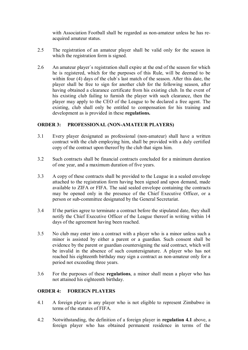with Association Football shall be regarded as non-amateur unless he has reacquired amateur status.

- 2.5 The registration of an amateur player shall be valid only for the season in which the registration form is signed.
- 2.6 An amateur player`s registration shall expire at the end of the season for which he is registered, which for the purposes of this Rule, will be deemed to be within four (4) days of the club`s last match of the season. After this date, the player shall be free to sign for another club for the following season, after having obtained a clearance certificate from his existing club. In the event of his existing club failing to furnish the player with such clearance, then the player may apply to the CEO of the League to be declared a free agent. The existing, club shall only be entitled to compensation for his training and development as is provided in these **regulations.**

# **ORDER 3: PROFESSIONAL (NON-AMATEUR PLAYERS)**

- 3.1 Every player designated as professional (non-amateur) shall have a written contract with the club employing him, shall be provided with a duly certified copy of the contract upon thereof by the club that signs him.
- 3.2 Such contracts shall be financial contracts concluded for a minimum duration of one year, and a maximum duration of five years.
- 3.3 A copy of these contracts shall be provided to the League in a sealed envelope attached to the registration form having been signed and upon demand, made available to ZIFA or FIFA. The said sealed envelope containing the contracts may be opened only in the presence of the Chief Executive Officer, or a person or sub-committee designated by the General Secretariat.
- 3.4 If the parties agree to terminate a contract before the stipulated date, they shall notify the Chief Executive Officer of the League thereof in writing within 14 days of the agreement having been reached.
- 3.5 No club may enter into a contract with a player who is a minor unless such a minor is assisted by either a parent or a guardian. Such consent shall be evidence by the parent or guardian countersigning the said contract, which will be invalid in the absence of such countersignature. A player who has not reached his eighteenth birthday may sign a contract as non-amateur only for a period not exceeding three years.
- 3.6 For the purposes of these **regulations**, a minor shall mean a player who has not attained his eighteenth birthday.

#### **ORDER 4: FOREIGN PLAYERS**

- 4.1 A foreign player is any player who is not eligible to represent Zimbabwe in terms of the statutes of FIFA.
- 4.2 Notwithstanding, the definition of a foreign player in **regulation 4.1** above, a foreign player who has obtained permanent residence in terms of the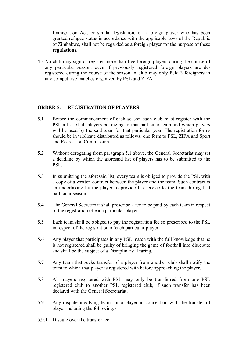Immigration Act, or similar legislation, or a foreign player who has been granted refugee status in accordance with the applicable laws of the Republic of Zimbabwe, shall not be regarded as a foreign player for the purpose of these **regulations.**

4.3 No club may sign or register more than five foreign players during the course of any particular season, even if previously registered foreign players are deregistered during the course of the season. A club may only field 3 foreigners in any competitive matches organized by PSL and ZIFA.

# **ORDER 5: REGISTRATION OF PLAYERS**

- 5.1 Before the commencement of each season each club must register with the PSL a list of all players belonging to that particular team and which players will be used by the said team for that particular year. The registration forms should be in triplicate distributed as follows: one form to PSL, ZIFA and Sport and Recreation Commission.
- 5.2 Without derogating from paragraph 5.1 above, the General Secretariat may set a deadline by which the aforesaid list of players has to be submitted to the PSL.
- 5.3 In submitting the aforesaid list, every team is obliged to provide the PSL with a copy of a written contract between the player and the team. Such contract is an undertaking by the player to provide his service to the team during that particular season.
- 5.4 The General Secretariat shall prescribe a fee to be paid by each team in respect of the registration of each particular player.
- 5.5 Each team shall be obliged to pay the registration fee so prescribed to the PSL in respect of the registration of each particular player.
- 5.6 Any player that participates in any PSL match with the full knowledge that he is not registered shall be guilty of bringing the game of football into disrepute and shall be the subject of a Disciplinary Hearing.
- 5.7 Any team that seeks transfer of a player from another club shall notify the team to which that player is registered with before approaching the player.
- 5.8 All players registered with PSL may only be transferred from one PSL registered club to another PSL registered club, if such transfer has been declared with the General Secretariat.
- 5.9 Any dispute involving teams or a player in connection with the transfer of player including the following:-
- 5.9.1 Dispute over the transfer fee: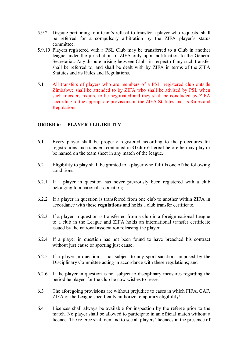- 5.9.2 Dispute pertaining to a team`s refusal to transfer a player who requests, shall be referred for a compulsory arbitration by the ZIFA player`s status committee.
- 5.9.10 Players registered with a PSL Club may be transferred to a Club in another league under the jurisdiction of ZIFA only upon notification to the General Secretariat. Any dispute arising between Clubs in respect of any such transfer shall be referred to, and shall be dealt with by ZIFA in terms of the ZIFA Statutes and its Rules and Regulations.
- 5.11 All transfers of players who are members of a PSL, registered club outside Zimbabwe shall be attended to by ZIFA who shall be advised by PSL when such transfers require to be negotiated and they shall be concluded by ZIFA according to the appropriate provisions in the ZIFA Statutes and its Rules and Regulations.

# **ORDER 6: PLAYER ELIGIBILITY**

- 6.1 Every player shall be properly registered according to the procedures for registrations and transfers contained in **Order 6** hereof before he may play or be named on the team sheet in any match of the league.
- 6.2 Eligibility to play shall be granted to a player who fulfills one of the following conditions:
- 6.2.1 If a player in question has never previously been registered with a club belonging to a national association;
- 6.2.2 If a player in question is transferred from one club to another within ZIFA in accordance with these **regulations** and holds a club transfer certificate.
- 6.2.3 If a player in question is transferred from a club in a foreign national League to a club in the League and ZIFA holds an international transfer certificate issued by the national association releasing the player.
- 6.2.4 If a player in question has not been found to have breached his contract without just cause or sporting just cause;
- 6.2.5 If a player in question is not subject to any sport sanctions imposed by the Disciplinary Committee acting in accordance with these regulations; and
- 6.2.6 If the player in question is not subject to disciplinary measures regarding the period he played for the club he now wishes to leave.
- 6.3 The aforegoing provisions are without prejudice to cases in which FIFA, CAF, ZIFA or the League specifically authorize temporary eligibility/
- 6.4 Licences shall always be available for inspection by the referee prior to the match. No player shall be allowed to participate in an official match without a licence. The referee shall demand to see all players` licences in the presence of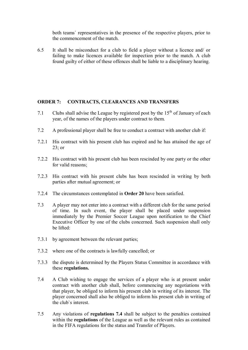both teams` representatives in the presence of the respective players, prior to the commencement of the match.

6.5 It shall be misconduct for a club to field a player without a licence and/ or failing to make licences available for inspection prior to the match. A club found guilty of either of these offences shall be liable to a disciplinary hearing.

#### **ORDER 7: CONTRACTS, CLEARANCES AND TRANSFERS**

- 7.1 Clubs shall advise the League by registered post by the  $15<sup>th</sup>$  of January of each year, of the names of the players under contract to them.
- 7.2 A professional player shall be free to conduct a contract with another club if:
- 7.2.1 His contract with his present club has expired and he has attained the age of 23; or
- 7.2.2 His contract with his present club has been rescinded by one party or the other for valid reasons;
- 7.2.3 His contract with his present clubs has been rescinded in writing by both parties after mutual agreement; or
- 7.2.4 The circumstances contemplated in **Order 20** have been satisfied.
- 7.3 A player may not enter into a contract with a different club for the same period of time. In such event, the player shall be placed under suspension immediately by the Premier Soccer League upon notification to the Chief Executive Officer by one of the clubs concerned. Such suspension shall only be lifted:
- 7.3.1 by agreement between the relevant parties;
- 7.3.2 where one of the contracts is lawfully cancelled; or
- 7.3.3 the dispute is determined by the Players Status Committee in accordance with these **regulations.**
- 7.4 A Club wishing to engage the services of a player who is at present under contract with another club shall, before commencing any negotiations with that player, be obliged to inform his present club in writing of its interest. The player concerned shall also be obliged to inform his present club in writing of the club`s interest.
- 7.5 Any violations of **regulations 7.4** shall be subject to the penalties contained within the **regulations** of the League as well as the relevant rules as contained in the FIFA regulations for the status and Transfer of Players.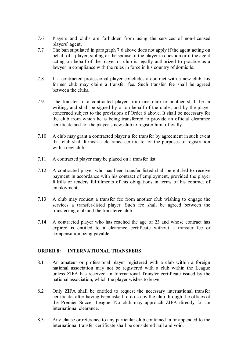- 7.6 Players and clubs are forbidden from using the services of non-licensed players` agent.
- 7.7 The ban stipulated in paragraph 7.6 above does not apply if the agent acting on behalf of a player, sibling or the spouse of the player in question or if the agent acting on behalf of the player or club is legally authorized to practice as a lawyer in compliance with the rules in force in his country of domicile.
- 7.8 If a contracted professional player concludes a contract with a new club, his former club may claim a transfer fee. Such transfer fee shall be agreed between the clubs.
- 7.9 The transfer of a contracted player from one club to another shall be in writing, and shall be signed by or on behalf of the clubs, and by the player concerned subject to the provisions of Order 6 above. It shall be necessary for the club from which he is being transferred to provide an official clearance certificate and for the player`s new club to register him officially.
- 7.10 A club may grant a contracted player a fee transfer by agreement in such event that club shall furnish a clearance certificate for the purposes of registration with a new club.
- 7.11 A contracted player may be placed on a transfer list.
- 7.12 A contracted player who has been transfer listed shall be entitled to receive payment in accordance with his contract of employment, provided the player fulfills or tenders fulfillments of his obligations in terms of his contract of employment.
- 7.13 A club may request a transfer fee from another club wishing to engage the services a transfer-listed player. Such fee shall be agreed between the transferring club and the transferee club.
- 7.14 A contracted player who has reached the age of 23 and whose contract has expired is entitled to a clearance certificate without a transfer fee or compensation being payable.

#### **ORDER 8: INTERNATIONAL TRANSFERS**

- 8.1 An amateur or professional player registered with a club within a foreign national association may not be registered with a club within the League unless ZIFA has received an International Transfer certificate issued by the national association, which the player wishes to leave.
- 8.2 Only ZIFA shall be entitled to request the necessary international transfer certificate, after having been asked to do so by the club through the offices of the Premier Soccer League. No club may approach ZIFA directly for an international clearance.
- 8.3 Any clause or reference to any particular club contained in or appended to the international transfer certificate shall be considered null and void.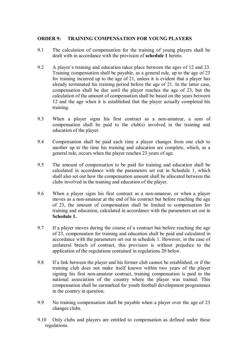# **ORDER 9: TRAINING COMPENSATION FOR YOUNG PLAYERS**

- 9.1 The calculation of compensation for the training of young players shall be dealt with in accordance with the provision of **schedule 1** hereto.
- 9.2 A player`s training and education takes place between the ages of 12 and 23. Training compensation shall be payable, as a general rule, up to the age of 23 for training incurred up to the age of 21, unless it is evident that a player has already terminated his training period before the age of 21. In the latter case, compensation shall be due until the player reaches the age of 23, but the calculation of the amount of compensation shall be based on the years between 12 and the age when it is established that the player actually completed his training.
- 9.3 When a player signs his first contract as a non-amateur, a sum of compensation shall be paid to the club(s) involved in the training and education of the player.
- 9.4 Compensation shall be paid each time a player changes from one club to another up to the time his training and education are complete, which, as a general rule, occurs when the player reaches 23 years of age.
- 9.5 The amount of compensation to be paid for training and education shall be calculated in accordance with the parameters set out in Schedule 1, which shall also set out how the compensation amount shall be allocated between the clubs involved in the training and education of the player.
- 9.6 When a player signs his first contract as a non-amateur, or when a player moves as a non-amateur at the end of his contract but before reaching the age of 23, the amount of compensation shall be limited to compensation for training and education, calculated in accordance with the parameters set out in **Schedule 1.**
- 9.7 If a player moves during the course of a contract but before reaching the age of 23, compensation for training and education shall be paid and calculated in accordance with the parameters set out in schedule 1. However, in the case of unilateral breach of contract, this provision is without prejudice to the application of the regulations contained in regulations 20 below.
- 9.8 If a link between the player and his former club cannot be established, or if the training club does not make itself known within two years of the player signing his first non-amateur contract, training compensation is paid to the national association of the country where the player was trained. This compensation shall be earmarked for youth football development programmes in the country in question.
- 9.9 No training compensation shall be payable when a player over the age of 23 changes clubs.
- 9.10 Only clubs and players are entitled to compensation as defined under these regulations.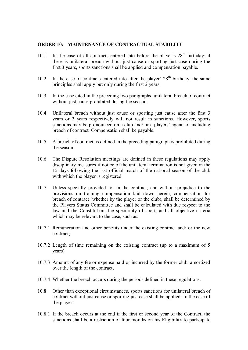#### **ORDER 10: MAINTENANCE OF CONTRACTUAL STABILITY**

- 10.1 In the case of all contracts entered into before the player's  $28<sup>th</sup>$  birthday: if there is unilateral breach without just cause or sporting just case during the first 3 years, sports sanctions shall be applied and compensation payable.
- 10.2 In the case of contracts entered into after the player`  $28<sup>th</sup>$  birthday, the same principles shall apply but only during the first 2 years.
- 10.3 In the case cited in the preceding two paragraphs, unilateral breach of contract without just cause prohibited during the season.
- 10.4 Unilateral breach without just cause or sporting just cause after the first 3 years or 2 years respectively will not result in sanctions. However, sports sanctions may be pronounced on a club and/ or a players` agent for including breach of contract. Compensation shall be payable.
- 10.5 A breach of contract as defined in the preceding paragraph is prohibited during the season.
- 10.6 The Dispute Resolution meetings are defined in these regulations may apply disciplinary measures if notice of the unilateral termination is not given in the 15 days following the last official match of the national season of the club with which the player is registered.
- 10.7 Unless specially provided for in the contract, and without prejudice to the provisions on training compensation laid down herein, compensation for breach of contract (whether by the player or the club), shall be determined by the Players Status Committee and shall be calculated with due respect to the law and the Constitution, the specificity of sport, and all objective criteria which may be relevant to the case, such as:
- 10.7.1 Remuneration and other benefits under the existing contract and/ or the new contract;
- 10.7.2 Length of time remaining on the existing contract (up to a maximum of 5 years)
- 10.7.3 Amount of any fee or expense paid or incurred by the former club, amortized over the length of the contract,
- 10.7.4 Whether the breach occurs during the periods defined in these regulations.
- 10.8 Other than exceptional circumstances, sports sanctions for unilateral breach of contract without just cause or sporting just case shall be applied: In the case of the player:
- 10.8.1 If the breach occurs at the end if the first or second year of the Contract, the sanctions shall be a restriction of four months on his Eligibility to participate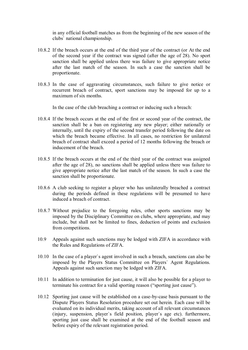in any official football matches as from the beginning of the new season of the clubs` national championship.

- 10.8.2 If the breach occurs at the end of the third year of the contract (or At the end of the second year if the contract was signed (after the age of 28). No sport sanction shall be applied unless there was failure to give appropriate notice after the last match of the season. In such a case the sanction shall be proportionate.
- 10.8.3 In the case of aggravating circumstances, such failure to give notice or recurrent breach of contract, sport sanctions may be imposed for up to a maximum of six months.

In the case of the club breaching a contract or inducing such a breach:

- 10.8.4 If the breach occurs at the end of the first or second year of the contract, the sanction shall be a ban on registering any new player; either nationally or internally, until the expiry of the second transfer period following the date on which the breach became effective. In all cases, no restriction for unilateral breach of contract shall exceed a period of 12 months following the breach or inducement of the breach.
- 10.8.5 If the breach occurs at the end of the third year of the contract was assigned after the age of 28), no sanctions shall be applied unless there was failure to give appropriate notice after the last match of the season. In such a case the sanction shall be proportionate.
- 10.8.6 A club seeking to register a player who has unilaterally breached a contract during the periods defined in these regulations will be presumed to have induced a breach of contract.
- 10.8.7 Without prejudice to the foregoing rules, other sports sanctions may be imposed by the Disciplinary Committee on clubs, where appropriate, and may include, but shall not be limited to fines, deduction of points and exclusion from competitions.
- 10.9 Appeals against such sanctions may be lodged with ZIFA in accordance with the Rules and Regulations of ZIFA.
- 10.10 In the case of a player`s agent involved in such a breach, sanctions can also be imposed by the Players Status Committee on Players` Agent Regulations. Appeals against such sanction may be lodged with ZIFA.
- 10.11 In addition to termination for just cause, it will also be possible for a player to terminate his contract for a valid sporting reason ("sporting just cause").
- 10.12 Sporting just cause will be established on a case-by-case basis pursuant to the Dispute Players Status Resolution procedure set out herein. Each case will be evaluated on its individual merits, taking account of all relevant circumstances (injury, suspension, player`s field position, player`s age etc). furthermore, sporting just case shall be examined at the end of the football season and before expiry of the relevant registration period.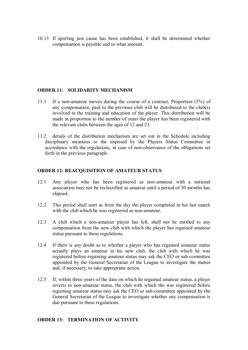10.13 If sporting just cause has been established, it shall be determined whether compensation is payable and to what amount.

# **ORDER 11: SOLIDARITY MECHANISM**

- 11.1 If a non-amateur moves during the course of a contract, Proportion (5%) of any compensation, paid to the previous club will be distributed to the club(s) involved in the training and education of the player. This distribution will be made in proportion to the number of years the player has been registered with the relevant clubs between the ages of 12 and 23.
- 11.2 details of the distribution mechanism are set out in the Schedule including disciplinary measures to the imposed by the Players Status Committee in accordance with the regulations, in case of non-observance of the obligations set forth in the previous paragraph.

#### **ORDER 12: REACQUISITION OF AMATEUR STATUS**

- 12.1 Any player who has been registered as non-amateur with a national association may not be reclassified as amateur until a period of 30 months has elapsed.
- 12.2 This period shall start as from the day the player completed in his last match with the club which he was registered as non-amateur.
- 12.3 A club which a non-amateur player has left, shall not be entitled to any compensation from the new club with which the player has regained amateur status pursuant to these regulations.
- 12.4 If there is any doubt as to whether a player who has regained amateur status actually plays an amateur in his new club, the club with which he was registered before regaining amateur status may ask the CEO or sub committee appointed by the General Secretariat of the League to investigate the matter and, if necessary, to take appropriate action.
- 12.5 If, within three years of the date on which he regained amateur status, a player reverts to non-amateur status, the club with which the was registered before regaining amateur status may ask the CEO or sub-committee appointed by the General Secretariat of the League to investigate whether any compensation is due pursuant to these regulations.

# **ORDER 13: TERMINATION OF ACTIVITY**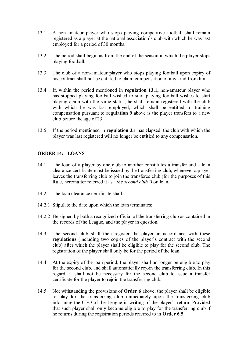- 13.1 A non-amateur player who stops playing competitive football shall remain registered as a player at the national association`s club with which he was last employed for a period of 30 months.
- 13.2 The period shall begin as from the end of the season in which the player stops playing football.
- 13.3 The club of a non-amateur player who stops playing football upon expiry of his contract shall not be entitled to claim compensation of any kind from him.
- 13.4 If, within the period mentioned in **regulation 13.1,** non-amateur player who has stopped playing football wished to start playing football wishes to start playing again with the same status, he shall remain registered with the club with which he was last employed, which shall be entitled to training compensation pursuant to **regulation 9** above is the player transfers to a new club before the age of 23.
- 13.5 If the period mentioned in **regulation 3.1** has elapsed, the club with which the player was last registered will no longer be entitled to any compensation.

# **ORDER 14: LOANS**

- 14.1 The loan of a player by one club to another constitutes a transfer and a loan clearance certificate must be issued by the transferring club, whenever a player leaves the transferring club to join the transferee club (for the purposes of this Rule, hereinafter referred it as *"the second club")* on loan.
- 14.2 The loan clearance certificate shall:
- 14.2.1 Stipulate the date upon which the loan terminates;
- 14.2.2 He signed by both a recognized official of the transferring club as contained in the records of the League, and the player in question.
- 14.3 The second club shall then register the player in accordance with these **regulations** (including two copies of the player`s contract with the second club) after which the player shall be eligible to play for the second club. The registration of the player shall only be for the period of the loan.
- 14.4 At the expiry of the loan period, the player shall no longer be eligible to play for the second club, and shall automatically rejoin the transferring club. In this regard, it shall not be necessary for the second club to issue a transfer certificate for the player to rejoin the transferring club.
- 14.5 Not withstanding the provisions of **Order 6** above, the player shall be eligible to play for the transferring club immediately upon the transferring club informing the CEO of the League in writing of the player`s return: Provided that such player shall only become eligible to play for the transferring club if he returns during the registration periods referred to in **Order 6.5**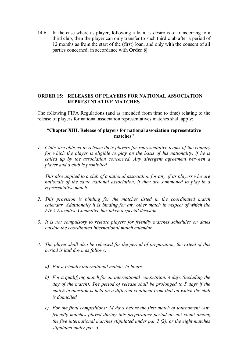14.6 In the case where as player, following a loan, is desirous of transferring to a third club, then the player can only transfer to such third club after a period of 12 months as from the start of the (first) loan, and only with the consent of all parties concerned, in accordance with **Order 6]**

# **ORDER 15: RELEASES OF PLAYERS FOR NATIONAL ASSOCIATION REPRESENTATIVE MATCHES**

The following FIFA Regulations (and as amended from time to time) relating to the release of players for national association representatives matches shall apply:

## **"Chapter XIII. Release of players for national association representative matches"**

*1. Clubs are obliged to release their players for representative teams of the country for which the player is eligible to play on the basis of his nationality, if he is called up by the association concerned. Any divergent agreement between a player and a club is prohibited.* 

*This also applied to a club of a national association for any of its players who are nationals of the same national association, if they are summoned to play in a representative match.*

- *2. This provision is binding for the matches listed in the coordinated match calendar. Additionally it is binding for any other match in respect of which the FIFA Executive Committee has taken a special decision*
- *3. It is not compulsory to release players for friendly matches schedules on dates outside the coordinated international match calendar.*
- *4. The player shall also be released for the period of preparation, the extent of this period is laid down as follows:*
	- *a) For a friendly international match: 48 hours;*
	- *b) For a qualifying match for an international competition: 4 days (including the day of the match). The period of release shall be prolonged to 5 days if the match in question is held on a different continent from that on which the club is domiciled.*
	- *c) For the final competitions: 14 days before the first match of tournament. Any friendly matches played during this preparatory period do not count among the five international matches stipulated under par 2 (2), or the eight matches stipulated under par. 3*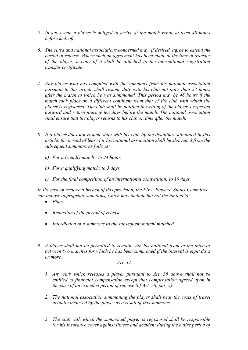- *5. In any event, a player is obliged to arrive at the match venue at least 48 hours before kick off.*
- *6. The clubs and national associations concerned may, if desired, agree to extend the period of release. Where such an agreement has been made at the time of transfer of the player, a copy of it shall be attached to the international registration transfer certificate.*
- *7. Any player who has compiled with the summons from his national association pursuant to this article shall resume duty with his club not later than 24 hours after the match to which he was summoned. This period may be 48 hours if the match took place on a different continent from that of the club with which the player is registered. The club shall be notified in writing of the player`s expected outward and return journey ten days before the match. The national association shall ensure that the player returns to his club on time after the match.*
- *8. If a player does not resume duty with his club by the deadlines stipulated in this article, the period of lease for his national association shall be shortened from the subsequent summons as follows:*
	- *a) For a friendly match : to 24 hours*
	- *b) For a qualifying match: to 3 days*
	- *c) For the final competition of an international competition: to 10 days*

*In the case of recurrent breach of this provision, the FIFA Players` Status Committee can impose appropriate sanctions, which may include but not the limited to:* 

- *Fines*
- *Reduction of the period of release*
- *Interdiction of a summons to the subsequent match/ matched*
- *9. A player shall not be permitted to remain with his national team in the interval between two matches for which he has been summoned if the interval is eight days or more.*

*Art. 37* 

- *1. Any club which releases a player pursuant to Art. 36 above shall not be entitled to financial compensation except that compensation agreed upon in the case of an extended period of release (of Art. 36, par. 5)*
- *2. The national association summoning the player shall bear the costs of travel actually incurred by the player as a result of this summons.*
- *3. The club with which the summoned player is registered shall be responsible for his insurance cover against illness and accident during the entire period of*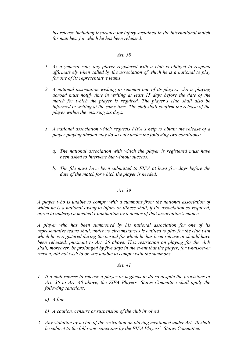*his release including insurance for injury sustained in the international match (or matches) for which he has been released.* 

# *Art. 38*

- *1. As a general rule, any player registered with a club is obliged to respond affirmatively when called by the association of which he is a national to play for one of its representative teams.*
- *2. A national association wishing to summon one of its players who is playing abroad must notify time in writing at least 15 days before the date of the match for which the player is required. The player`s club shall also be informed in writing at the same time. The club shall confirm the release of the player within the ensuring six days.*
- *3. A national association which requests FIFA`s help to obtain the release of a player playing abroad may do so only under the following two conditions:*
	- *a) The national association with which the player is registered must have been asked to intervene but without success.*
	- *b) The file must have been submitted to FIFA at least five days before the date of the match for which the player is needed.*

#### *Art. 39*

*A player who is unable to comply with a summons from the national association of which he is a national owing to injury or illness shall, if the association so required, agree to undergo a medical examination by a doctor of that association`s choice.* 

*A player who has been summoned by his national association for one of its representative teams shall, under no circumstances is entitled to play for the club with which he is registered during the period for which he has been release or should have been released, pursuant to Art. 36 above. This restriction on playing for the club shall, moreover, be prolonged by five days in the event that the player, for whatsoever reason, did not wish to or was unable to comply with the summons.*

#### *Art. 41*

- *1. If a club refuses to release a player or neglects to do so despite the provisions of Art. 36 to Art. 40 above, the ZIFA Players` Status Committee shall apply the following sanctions:* 
	- *a) A fine*
	- *b) A caution, censure or suspension of the club involved*
- *2. Any violation by a club of the restriction on playing mentioned under Art. 40 shall be subject to the following sanctions by the FIFA Players` Status Committee:*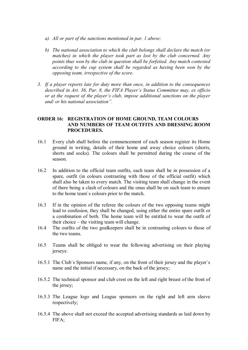- *a) All or part of the sanctions mentioned in par. 1 above:*
- *b) The national association to which the club belongs shall declare the match (or matches) in which the player took part as lost by the club concerned. Any points thus won by the club in question shall be forfeited. Any match contested according to the cup system shall be regarded as having been won by the opposing team, irrespective of the score.*
- *3. If a player reports late for duty more than once, in addition to the consequences described in Art. 36, Par. 8, the FIFA Player`s Status Committee may, ex officio or at the request of the player`s club, impose additional sanctions on the player and/ or his national association".*

# **ORDER 16: REGISTRATION OF HOME GROUND, TEAM COLOURS AND NUMBERS OF TEAM OUTFITS AND DRESSING ROOM PROCEDURES.**

- 16.1 Every club shall before the commencement of each season register its Home ground in writing, details of their home and away choice colours (shorts, shorts and socks). The colours shall be permitted during the course of the season.
- 16.2 In addition to the official team outfits, each team shall be in possession of a spare, outfit (in colours contrasting with those of the official outfit) which shall also be taken to every match. The visiting team shall change in the event of there being a clash of colours and the onus shall be on such team to ensure to the home team`s colours prior to the match.
- 16.3 If in the opinion of the referee the colours of the two opposing teams might lead to confusion, they shall be changed, using either the entire spare outfit or a combination of both. The home team will be entitled to wear the outfit of their choice – the visiting team will change.
- 16.4 The outfits of the two goalkeepers shall be in contrasting colours to those of the two teams.
- 16.5 Teams shall be obliged to wear the following advertising on their playing jerseys:
- 16.5.1 The Club`s Sponsors name, if any, on the front of their jersey and the player`s name and the initial if necessary, on the back of the jersey;
- 16.5.2 The technical sponsor and club crest on the left and right breast of the front of the jersey;
- 16.5.3 The League logo and League sponsors on the right and left arm sleeve respectively;
- 16.5.4 The above shall not exceed the accepted advertising standards as laid down by FIFA;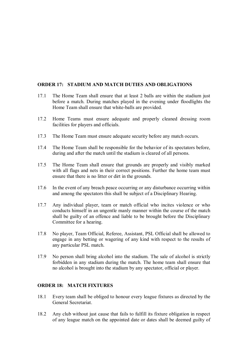# **ORDER 17: STADIUM AND MATCH DUTIES AND OBLIGATIONS**

- 17.1 The Home Team shall ensure that at least 2 balls are within the stadium just before a match. During matches played in the evening under floodlights the Home Team shall ensure that white-balls are provided.
- 17.2 Home Teams must ensure adequate and properly cleaned dressing room facilities for players and officials.
- 17.3 The Home Team must ensure adequate security before any match occurs.
- 17.4 The Home Team shall be responsible for the behavior of its spectators before, during and after the match until the stadium is cleared of all persons.
- 17.5 The Home Team shall ensure that grounds are properly and visibly marked with all flags and nets in their correct positions. Further the home team must ensure that there is no litter or dirt in the grounds.
- 17.6 In the event of any breach peace occurring or any disturbance occurring within and among the spectators this shall be subject of a Disciplinary Hearing.
- 17.7 Any individual player, team or match official who incites violence or who conducts himself in an ungentle manly manner within the course of the match shall be guilty of an offence and liable to be brought before the Disciplinary Committee for a hearing.
- 17.8 No player, Team Official, Referee, Assistant, PSL Official shall be allowed to engage in any betting or wagering of any kind with respect to the results of any particular PSL match.
- 17.9 No person shall bring alcohol into the stadium. The sale of alcohol is strictly forbidden in any stadium during the match. The home team shall ensure that no alcohol is brought into the stadium by any spectator, official or player.

# **ORDER 18: MATCH FIXTURES**

- 18.1 Every team shall be obliged to honour every league fixtures as directed by the General Secretariat.
- 18.2 Any club without just cause that fails to fulfill its fixture obligation in respect of any league match on the appointed date or dates shall be deemed guilty of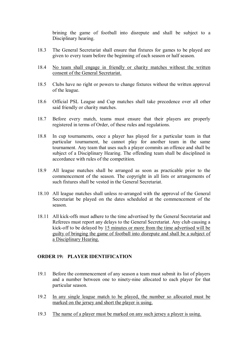brining the game of football into disrepute and shall be subject to a Disciplinary hearing.

- 18.3 The General Secretariat shall ensure that fixtures for games to be played are given to every team before the beginning of each season or half season.
- 18.4 No team shall engage in friendly or charity matches without the written consent of the General Secretariat.
- 18.5 Clubs have no right or powers to change fixtures without the written approval of the league.
- 18.6 Official PSL League and Cup matches shall take precedence over all other said friendly or charity matches.
- 18.7 Before every match, teams must ensure that their players are properly registered in terms of Order, of these rules and regulations.
- 18.8 In cup tournaments, once a player has played for a particular team in that particular tournament, he cannot play for another team in the same tournament. Any team that uses such a player commits an offence and shall be subject of a Disciplinary Hearing. The offending team shall be disciplined in accordance with rules of the competition.
- 18.9 All league matches shall be arranged as soon as practicable prior to the commencement of the season. The copyright in all lists or arrangements of such fixtures shall be vested in the General Secretariat.
- 18.10 All league matches shall unless re-arranged with the approval of the General Secretariat be played on the dates scheduled at the commencement of the season.
- 18.11 All kick-offs must adhere to the time advertised by the General Secretariat and Referees must report any delays to the General Secretariat. Any club causing a kick-off to be delayed by 15 minutes or more from the time advertised will be guilty of bringing the game of football into disrepute and shall be a subject of a Disciplinary Hearing.

# **ORDER 19: PLAYER IDENTIFICATION**

- 19.1 Before the commencement of any season a team must submit its list of players and a number between one to ninety-nine allocated to each player for that particular season.
- 19.2 In any single league match to be played, the number so allocated must be marked on the jersey and short the player is using.
- 19.3 The name of a player must be marked on any such jersey a player is using.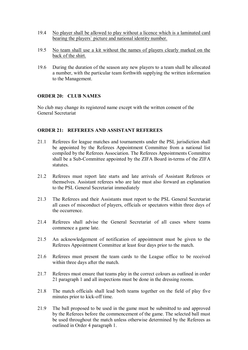- 19.4 No player shall be allowed to play without a licence which is a laminated card bearing the players` picture and national identity number.
- 19.5 No team shall use a kit without the names of players clearly marked on the back of the shirt.
- 19.6 During the duration of the season any new players to a team shall be allocated a number, with the particular team forthwith supplying the written information to the Management.

# **ORDER 20: CLUB NAMES**

No club may change its registered name except with the written consent of the General Secretariat

# **ORDER 21: REFEREES AND ASSISTANT REFEREES**

- 21.1 Referees for league matches and tournaments under the PSL jurisdiction shall be appointed by the Referees Appointment Committee from a national list compiled by the Referees Association. The Referees Appointments Committee shall be a Sub-Committee appointed by the ZIFA Board in-terms of the ZIFA statutes.
- 21.2 Referees must report late starts and late arrivals of Assistant Referees or themselves. Assistant referees who are late must also forward an explanation to the PSL General Secretariat immediately
- 21.3 The Referees and their Assistants must report to the PSL General Secretariat all cases of misconduct of players, officials or spectators within three days of the occurrence.
- 21.4 Referees shall advise the General Secretariat of all cases where teams commence a game late.
- 21.5 An acknowledgement of notification of appointment must be given to the Referees Appointment Committee at least four days prior to the match.
- 21.6 Referees must present the team cards to the League office to be received within three days after the match.
- 21.7 Referees must ensure that teams play in the correct colours as outlined in order 21 paragraph 1 and all inspections must be done in the dressing rooms.
- 21.8 The match officials shall lead both teams together on the field of play five minutes prior to kick-off time.
- 21.9 The ball proposed to be used in the game must be submitted to and approved by the Referees before the commencement of the game. The selected ball must be used throughout the match unless otherwise determined by the Referees as outlined in Order 4 paragraph 1.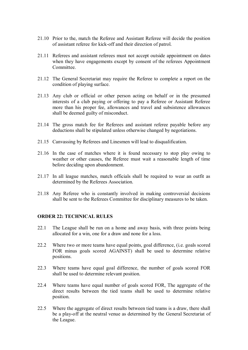- 21.10 Prior to the, match the Referee and Assistant Referee will decide the position of assistant referee for kick-off and their direction of patrol.
- 21.11 Referees and assistant referees must not accept outside appointment on dates when they have engagements except by consent of the referees Appointment Committee.
- 21.12 The General Secretariat may require the Referee to complete a report on the condition of playing surface.
- 21.13 Any club or official or other person acting on behalf or in the presumed interests of a club paying or offering to pay a Referee or Assistant Referee more than his proper fee, allowances and travel and subsistence allowances shall be deemed guilty of misconduct.
- 21.14 The gross match fee for Referees and assistant referee payable before any deductions shall be stipulated unless otherwise changed by negotiations.
- 21.15 Canvassing by Referees and Linesmen will lead to disqualification.
- 21.16 In the case of matches where it is found necessary to stop play owing to weather or other causes, the Referee must wait a reasonable length of time before deciding upon abandonment.
- 21.17 In all league matches, match officials shall be required to wear an outfit as determined by the Referees Association.
- 21.18 Any Referee who is constantly involved in making controversial decisions shall be sent to the Referees Committee for disciplinary measures to be taken.

# **ORDER 22: TECHNICAL RULES**

- 22.1 The League shall be run on a home and away basis, with three points being allocated for a win, one for a draw and none for a loss.
- 22.2 Where two or more teams have equal points, goal difference, (i.e. goals scored FOR minus goals scored AGAINST) shall be used to determine relative positions.
- 22.3 Where teams have equal goal difference, the number of goals scored FOR shall be used to determine relevant position.
- 22.4 Where teams have equal number of goals scored FOR, The aggregate of the direct results between the tied teams shall be used to determine relative position.
- 22.5 Where the aggregate of direct results between tied teams is a draw, there shall be a play-off at the neutral venue as determined by the General Secretariat of the League.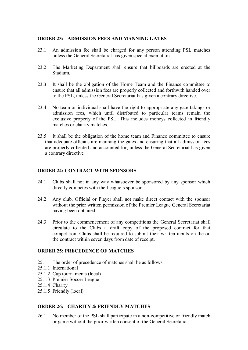#### **ORDER 23: ADMISSION FEES AND MANNING GATES**

- 23.1 An admission fee shall be charged for any person attending PSL matches unless the General Secretariat has given special exemption.
- 23.2 The Marketing Department shall ensure that billboards are erected at the Stadium.
- 23.3 It shall be the obligation of the Home Team and the Finance committee to ensure that all admission fees are properly collected and forthwith handed over to the PSL, unless the General Secretariat has given a contrary directive.
- 23.4 No team or individual shall have the right to appropriate any gate takings or admission fees, which until distributed to particular teams remain the exclusive property of the PSL. This includes moneys collected in friendly matches or charity matches.
- 23.5 It shall be the obligation of the home team and Finance committee to ensure that adequate officials are manning the gates and ensuring that all admission fees are properly collected and accounted for, unless the General Secretariat has given a contrary directive

#### **ORDER 24: CONTRACT WITH SPONSORS**

- 24.1 Clubs shall not in any way whatsoever be sponsored by any sponsor which directly competes with the League`s sponsor.
- 24.2 Any club, Official or Player shall not make direct contact with the sponsor without the prior written permission of the Premier League General Secretariat having been obtained.
- 24.3 Prior to the commencement of any competitions the General Secretariat shall circulate to the Clubs a draft copy of the proposed contract for that competition. Clubs shall be required to submit their written inputs on the on the contract within seven days from date of receipt.

#### **ORDER 25: PRECEDENCE OF MATCHES**

- 25.1 The order of precedence of matches shall be as follows:
- 25.1.1 International
- 25.1.2 Cup tournaments (local)
- 25.1.3 Premier Soccer League
- 25.1.4 Charity
- 25.1.5 Friendly (local)

#### **ORDER 26: CHARITY & FRIENDLY MATCHES**

26.1 No member of the PSL shall participate in a non-competitive or friendly match or game without the prior written consent of the General Secretariat.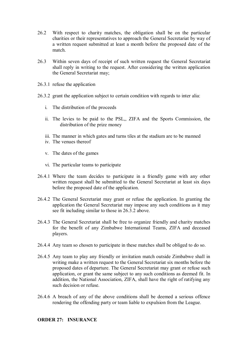- 26.2 With respect to charity matches, the obligation shall be on the particular charities or their representatives to approach the General Secretariat by way of a written request submitted at least a month before the proposed date of the match.
- 26.3 Within seven days of receipt of such written request the General Secretariat shall reply in writing to the request. After considering the written application the General Secretariat may;
- 26.3.1 refuse the application
- 26.3.2 grant the application subject to certain condition with regards to inter alia:
	- i. The distribution of the proceeds
	- ii. The levies to be paid to the PSL,, ZIFA and the Sports Commission, the distribution of the prize money
	- iii. The manner in which gates and turns tiles at the stadium are to be manned
	- iv. The venues thereof
	- v. The dates of the games
	- vi. The particular teams to participate
- 26.4.1 Where the team decides to participate in a friendly game with any other written request shall be submitted to the General Secretariat at least six days before the proposed date of the application.
- 26.4.2 The General Secretariat may grant or refuse the application. In granting the application the General Secretariat may impose any such conditions as it may see fit including similar to those in 26.3.2 above.
- 26.4.3 The General Secretariat shall be free to organize friendly and charity matches for the benefit of any Zimbabwe International Teams, ZIFA and deceased players.
- 26.4.4 Any team so chosen to participate in these matches shall be obliged to do so.
- 26.4.5 Any team to play any friendly or invitation match outside Zimbabwe shall in writing make a written request to the General Secretariat six months before the proposed dates of departure. The General Secretariat may grant or refuse such application, or grant the same subject to any such conditions as deemed fit. In addition, the National Association, ZIFA, shall have the right of ratifying any such decision or refuse.
- 26.4.6 A breach of any of the above conditions shall be deemed a serious offence rendering the offending party or team liable to expulsion from the League.

#### **ORDER 27: INSURANCE**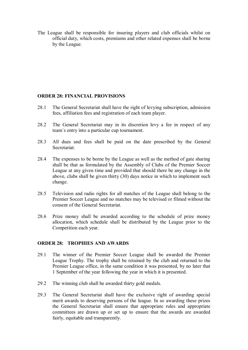The League shall be responsible for insuring players and club officials whilst on official duty, which costs, premiums and other related expenses shall be borne by the League.

# **ORDER 28: FINANCIAL PROVISIONS**

- 28.1 The General Secretariat shall have the right of levying subscription, admission fees, affiliation fees and registration of each team player.
- 28.2 The General Secretariat may in its discretion levy a fee in respect of any team`s entry into a particular cup tournament.
- 28.3 All dues and fees shall be paid on the date prescribed by the General Secretariat.
- 28.4 The expenses to be borne by the League as well as the method of gate sharing shall be that as formulated by the Assembly of Clubs of the Premier Soccer League at any given time and provided that should there be any change in the above, clubs shall be given thirty (30) days notice in which to implement such change.
- 28.5 Television and radio rights for all matches of the League shall belong to the Premier Soccer League and no matches may be televised or filmed without the consent of the General Secretariat.
- 28.6 Prize money shall be awarded according to the schedule of prize money allocation, which schedule shall be distributed by the League prior to the Competition each year.

#### **ORDER 28: TROPHIES AND AWARDS**

- 29.1 The winner of the Premier Soccer League shall be awarded the Premier League Trophy. The trophy shall be retained by the club and returned to the Premier League office, in the same condition it was presented, by no later that 1 September of the year following the year in which it is presented.
- 29.2 The winning club shall be awarded thirty gold medals.
- 29.3 The General Secretariat shall have the exclusive right of awarding special merit awards to deserving persons of the league. In so awarding these prizes the General Secretariat shall ensure that appropriate rules and appropriate committees are drawn up or set up to ensure that the awards are awarded fairly, equitable and transparently.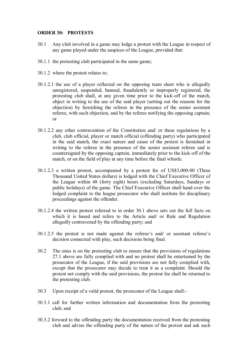# **ORDER 30: PROTESTS**

- 30.1 Any club involved in a game may lodge a protest with the League in respect of any game played under the auspices of the League, provided that:
- 30.1.1 the protesting club participated in the same game;
- 30.1.2 where the protest relates to;
- 30.1.2.1 the use of a player reflected on the opposing team sheet who is allegedly unregistered, suspended, banned, fraudulently or improperly registered, the protesting club shall, at any given time prior to the kick-off of the match, object in writing to the use of the said player (setting out the reasons for the objection) by furnishing the referee in the presence of the senior assistant referee, with such objection, and by the referee notifying the opposing captain; or
- 30.1.2.2 any other contravention of the Constitution and/ or these regulations by a club, club official, player or match official (offending party) who participated in the said match, the exact nature and cause of the protest is furnished in writing to the referee in the presence of the senior assistant referee and is countersigned by the opposing captain, immediately prior to the kick-off of the match, or on the field of play at any time before the final whistle.
- 30.1.2.3 a written protest, accompanied by a protest fee of US\$3,000-00 (Three Thousand United States dollars) is lodged with the Chief Executive Officer of the League within 48 (forty eight) hours (excluding Saturdays, Sundays or public holidays) of the game. The Chief Executive Officer shall hand over the lodged complaint to the league prosecutor who shall institute for disciplinary proceedings against the offender.
- 30.1.2.4 the written protest referred to in order 30.1 above sets out the full facts on which it is based and refers to the Article and/ or Rule and Regulation allegedly contravened by the offending party; and
- 30.1.2.5 the protest is not made against the referee's and/ or assistant referee's decision connected with play, such decisions being final.
- 30.2 The onus is on the protesting club to ensure that the provisions of regulations 27.1 above are fully complied with and no protest shall be entertained by the prosecutor of the League, if the said provisions are not fully complied with, except that the prosecutor may decide to treat it as a complaint. Should the protest not comply with the said provisions, the protest fee shall be returned to the protesting club.
- 30.3 Upon receipt of a valid protest, the prosecutor of the League shall:-
- 30.3.1 call for further written information and documentation from the protesting club; and
- 30.3.2 forward to the offending party the documentation received from the protesting club and advise the offending party of the nature of the protest and ask such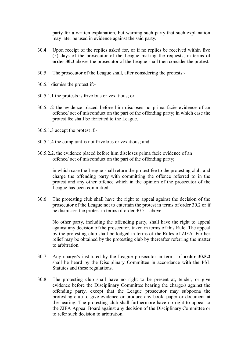party for a written explanation, but warning such party that such explanation may later be used in evidence against the said party.

- 30.4 Upon receipt of the replies asked for, or if no replies be received within five (5) days of the prosecutor of the League making the requests, in terms of **order 30.3** above, the prosecutor of the League shall then consider the protest.
- 30.5 The prosecutor of the League shall, after considering the protests:-
- 30.5.1 dismiss the protest if:-
- 30.5.1.1 the protests is frivolous or vexatious; or
- 30.5.1.2 the evidence placed before him discloses no prima facie evidence of an offence/ act of misconduct on the part of the offending party; in which case the protest fee shall be forfeited to the League.
- 30.5.1.3 accept the protest if:-
- 30.5.1.4 the complaint is not frivolous or vexatious; and
- 30.5.2.2. the evidence placed before him discloses prima facie evidence of an offence/ act of misconduct on the part of the offending party;

in which case the League shall return the protest fee to the protesting club, and charge the offending party with committing the offence referred to in the protest and any other offence which in the opinion of the prosecutor of the League has been committed.

30.6 The protesting club shall have the right to appeal against the decision of the prosecutor of the League not to entertain the protest in terms of order 30.2 or if he dismisses the protest in terms of order 30.5.1 above.

No other party, including the offending party, shall have the right to appeal against any decision of the prosecutor, taken in terms of this Rule. The appeal by the protesting club shall be lodged in terms of the Rules of ZIFA. Further relief may be obtained by the protesting club by thereafter referring the matter to arbitration.

- 30.7 Any charge/s instituted by the League prosecutor in terms of **order 30.5.2**  shall be heard by the Disciplinary Committee in accordance with the PSL Statutes and these regulations.
- 30.8 The protesting club shall have no right to be present at, tender, or give evidence before the Disciplinary Committee hearing the charge/s against the offending party, except that the League prosecutor may subpoena the protesting club to give evidence or produce any book, paper or document at the hearing. The protesting club shall furthermore have no right to appeal to the ZIFA Appeal Board against any decision of the Disciplinary Committee or to refer such decision to arbitration.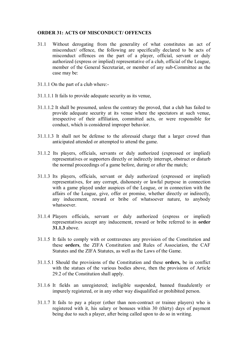# **ORDER 31: ACTS OF MISCONDUCT/ OFFENCES**

- 31.1 Without derogating from the generality of what constitutes an act of misconduct/ offence, the following are specifically declared to be acts of misconduct offences on the part of a player, official, servant or duly authorized (express or implied) representative of a club, official of the League, member of the General Secretariat, or member of any sub-Committee as the case may be:
- 31.1.1 On the part of a club where:-
- 31.1.1.1 It fails to provide adequate security as its venue,
- 31.1.1.2 It shall be presumed, unless the contrary the proved, that a club has failed to provide adequate security at its venue where the spectators at such venue, irrespective of their affiliation, committed acts, or were responsible for conduct, which is considered improper behavior.
- 31.1.1.3 It shall not be defense to the aforesaid charge that a larger crowd than anticipated attended or attempted to attend the game.
- 31.1.2 Its players, officials, servants or duly authorized (expressed or implied) representatives or supporters directly or indirectly interrupt, obstruct or disturb the normal proceedings of a game before, during or after the match;
- 31.1.3 Its players, officials, servant or duly authorized (expressed or implied) representatives, for any corrupt, dishonesty or lawful purpose in connection with a game played under auspices of the League, or in connection with the affairs of the League, give, offer or promise, whether directly or indirectly, any inducement, reward or bribe of whatsoever nature, to anybody whatsoever.
- 31.1.4 Players officials, servant or duly authorized (express or implied) representatives accept any inducement, reward or bribe referred to in **order 31.1.3** above.
- 31.1.5 It fails to comply with or contravenes any provision of the Constitution and these **orders**, the ZIFA Constitution and Rules of Association, the CAF Statutes and the ZIFA Statutes, as well as the Laws of the Game.
- 31.1.5.1 Should the provisions of the Constitution and these **orders,** be in conflict with the statues of the various bodies above, then the provisions of Article 29.2 of the Constitution shall apply.
- 31.1.6 It fields an unregistered; ineligible suspended, banned fraudulently or impurely registered, or in any other way disqualified or prohibited person.
- 31.1.7 It fails to pay a player (other than non-contract or trainee players) who is registered with it, his salary or bonuses within 30 (thirty) days of payment being due to such a player, after being called upon to do so in writing.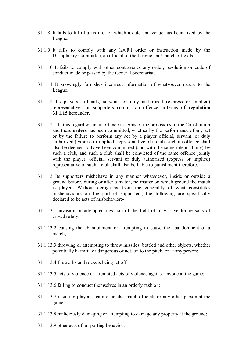- 31.1.8 It fails to fulfill a fixture for which a date and venue has been fixed by the League.
- 31.1.9 It fails to comply with any lawful order or instruction made by the Disciplinary Committee, an official of the League and/ match officials.
- 31.1.10 It fails to comply with other contravenes any order, resolution or code of conduct made or passed by the General Secretariat.
- 31.1.11 It knowingly furnishes incorrect information of whatsoever nature to the League.
- 31.1.12 Its players, officials, servants or duly authorized (express or implied) representatives or supporters commit an offence in-terms of **regulation 31.1.15** hereunder.
- 31.1.12.1 In this regard when an offence in terms of the provisions of the Constitution and these **orders** has been committed, whether by the performance of any act or by the failure to perform any act by a player official, servant, or duly authorized (express or implied) representative of a club, such an offence shall also be deemed to have been committed (and with the same intent, if any) by such a club, and such a club shall be convicted of the same offence jointly with the player, official, servant or duly authorized (express or implied) representative of such a club shall also be liable to punishment therefore.
- 31.1.13 Its supporters misbehave in any manner whatsoever, inside or outside a ground before, during or after a match, no matter on which ground the match is played. Without derogating from the generality of what constitutes misbehaviours on the part of supporters, the following are specifically declared to be acts of misbehavior:-
- 31.1.13.1 invasion or attempted invasion of the field of play, save for reasons of crowd safety;
- 31.1.13.2 causing the abandonment or attempting to cause the abandonment of a match;
- 31.1.13.3 throwing or attempting to throw missiles, bottled and other objects, whether potentially harmful or dangerous or not, on to the pitch, or at any person;
- 31.1.13.4 fireworks and rockets being let off;
- 31.1.13.5 acts of violence or attempted acts of violence against anyone at the game;
- 31.1.13.6 failing to conduct themselves in an orderly fashion;
- 31.1.13.7 insulting players, team officials, match officials or any other person at the game;
- 31.1.13.8 maliciously damaging or attempting to damage any property at the ground;
- 31.1.13.9 other acts of unsporting behavior;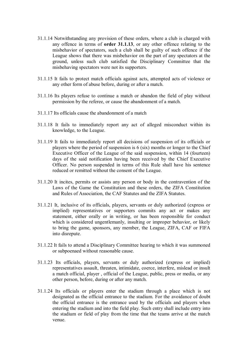- 31.1.14 Notwithstanding any provision of these orders, where a club is charged with any offence in terms of **order 31.1.13**, or any other offence relating to the misbehavior of spectators, such a club shall be guilty of such offence if the League shows that there was misbehavior on the part of any spectators at the ground, unless such club satisfied the Disciplinary Committee that the misbehaving spectators were not its supporters.
- 31.1.15 It fails to protect match officials against acts, attempted acts of violence or any other form of abuse before, during or after a match.
- 31.1.16 Its players refuse to continue a match or abandon the field of play without permission by the referee, or cause the abandonment of a match.
- 31.1.17 Its officials cause the abandonment of a match
- 31.1.18 It fails to immediately report any act of alleged misconduct within its knowledge, to the League.
- 31.1.19 It fails to immediately report all decisions of suspension of its officials or players where the period of suspension is 6 (six) months or longer to the Chief Executive Officer of the League of the said suspension, within 14 (fourteen) days of the said notification having been received by the Chief Executive Officer. No person suspended in terms of this Rule shall have his sentence reduced or remitted without the consent of the League.
- 31.1.20 It incites, permits or assists any person or body in the contravention of the Laws of the Game the Constitution and these orders, the ZIFA Constitution and Rules of Association, the CAF Statutes and the ZIFA Statutes.
- 31.1.21 It, inclusive of its officials, players, servants or duly authorized (express or implied) representatives or supporters commits any act or makes any statement, either orally or in writing, or has been responsible for conduct which is considered ungentlemanly, insulting or improper behavior, or likely to bring the game, sponsors, any member, the League, ZIFA, CAF or FIFA into disrepute.
- 31.1.22 It fails to attend a Disciplinary Committee hearing to which it was summoned or subpoenaed without reasonable cause.
- 31.1.23 Its officials, players, servants or duly authorized (express or implied) representatives assault, threaten, intimidate, coerce, interfere, mislead or insult a match official, player , official of the League, public, press or media, or any other person, before, during or after any match.
- 31.1.24 Its officials or players enter the stadium through a place which is not designated as the official entrance to the stadium. For the avoidance of doubt the official entrance is the entrance used by the officials and players when entering the stadium and into the field play. Such entry shall include entry into the stadium or field of play from the time that the teams arrive at the match venue.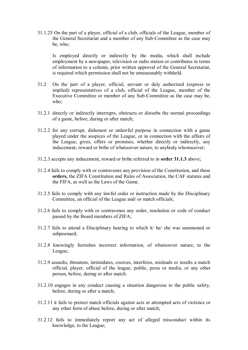31.1.25 On the part of a player, official of a club, officials of the League, member of the General Secretariat and a member of any Sub-Committee as the case may be, who;

Is employed directly or indirectly by the media, which shall include employment by a newspaper, television or radio station or contributes in terms of information to a column, prior written approval of the General Secretariat, is required which permission shall not be unreasonably withheld.

- 31.2 On the part of a player, official, servant or duly authorized (express or implied) representatives of a club, official of the League, member of the Executive Committee or member of any Sub-Committee as the case may be, who;
- 31.2.1 directly or indirectly interrupts, obstructs or disturbs the normal proceedings of a game, before, during or after match;
- 31.2.2 for any corrupt, dishonest or unlawful purpose in connection with a game played under the auspices of the League, or in connection with the affairs of the League, gives, offers or promises, whether directly or indirectly, any inducement, reward or bribe of whatsoever nature, to anybody whomsoever;
- 31.2.3 accepts any inducement, reward or bribe referred to in **order 31.1.3** above;
- 31.2.4 fails to comply with or contravenes any provision of the Constitution, and these **orders,** the ZIFA Constitution and Rules of Association, the CAF statutes and the FIFA, as well as the Laws of the Game.
- 31.2.5 fails to comply with any lawful order or instruction made by the Disciplinary Committee, an official of the League and/ or match officials;
- 31.2.6 fails to comply with or contravenes any order, resolution or code of conduct passed by the Board members of ZIFA;
- 31.2.7 fails to attend a Disciplinary hearing to which it/ he/ she was summoned or subpoenaed;
- 31.2.8 knowingly furnishes incorrect information, of whatsoever nature, to the League;
- 31.2.9 assaults, threatens, intimidates, coerces, interferes, misleads or insults a match official, player, official of the league, public, press or media, or any other person, before, during or after match.
- 31.2.10 engages in any conduct causing a situation dangerous to the public safety, before, during or after a match;
- 31.2.11 it fails to protect match officials against acts or attempted acts of violence or any other form of abuse before, during or after match;
- 31.2.12 fails to immediately report any act of alleged misconduct within its knowledge, to the League;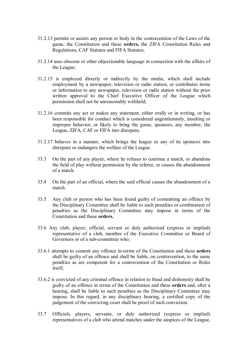- 31.2.13 permits or assists any person or body in the contravention of the Laws of the game, the Constitution and these **orders,** the ZIFA Constitution Rules and Regulations, CAF Statutes and FIFA Statutes;
- 31.2.14 uses obscene or other objectionable language in connection with the affairs of the League;
- 31.2.15 is employed directly or indirectly by the media, which shall include employment by a newspaper, television or radio station, or contributes items or information to any newspaper, television or radio station without the prior written approval to the Chief Executive Officer of the League which permission shall not be unreasonably withheld;
- 31.2.16 commits any act or makes any statement, either orally or in writing, or has been responsible for conduct which is considered ungentlemanly, insulting or improper behavior, or likely to bring the game, sponsors, any member, the League, ZIFA, CAF or FIFA into disrepute.
- 31.2.17 behaves in a manner, which brings the league or any of its sponsors into disrepute or endangers the welfare of the League.
- 33.3 On the part of any player, where he refuses to continue a match, or abandons the field of play without permission by the referee, or causes the abandonment of a match.
- 33.4 On the part of an official, where the said official causes the abandonment of a match.
- 33.5 Any club or person who has been found guilty of committing an offence by the Disciplinary Committee shall be liable to such penalties or combination of penalties as the Disciplinary Committee may impose in terms of the Constitution and these **orders.**
- 33.6 Any club, player, official, servant or duly authorized (express or implied) representative of a club, member of the Executive Committee or Board of Governors or of a sub-committee who;
- 33.6.1 attempts to commit any offence in-terms of the Constitution and these **orders**  shall be guilty of an offence and shall be liable, on contravention, to the same penalties as are competent for a contravention of the Constitution or Rules itself;
- 33.6.2 is convicted of any criminal offence in relation to fraud and dishonesty shall be guilty of an offence in terms of the Constitution and these **orders** and, after a hearing, shall be liable to such penalties as the Disciplinary Committee may impose. In this regard, in any disciplinary hearing, a certified copy of the judgement of the convicting court shall be proof of such conviction.
- 33.7 Officials, players, servants, or duly authorized (express or implied) representatives of a club who attend matches under the auspices of the League,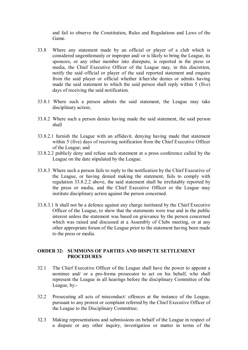and fail to observe the Constitution, Rules and Regulations and Laws of the Game.

- 33.8 Where any statement made by an official or player of a club which is considered ungentlemanly or improper and/ or is likely to bring the League, its sponsors, or any other member into disrepute, is reported in the press or media, the Chief Executive Officer of the League may, in this discretion, notify the said official or player of the said reported statement and enquire from the said player or official whether it/her/she denies or admits having made the said statement to which the said person shall reply within 5 (five) days of receiving the said notification.
- 33.8.1 Where such a person admits the said statement, the League may take disciplinary action;
- 33.8.2 Where such a person denies having made the said statement, the said person shall
- 33.8.2.1 furnish the League with an affidavit, denying having made that statement within 5 (five) days of receiving notification from the Chief Executive Officer of the League; and
- 33.8.2.2 publicly deny and refuse such statement at a press conference called by the League on the date stipulated by the League.
- 33.8.3 Where such a person fails to reply to the notification by the Chief Executive of the League, or having denied making the statement, fails to comply with regulation 33.8.2.2 above, the said statement shall be irrefutably reported by the press or media, and the Chief Executive Officer or the League may institute disciplinary action against the person concerned.
- 33.8.3.1 It shall not be a defence against any charge instituted by the Chief Executive Officer of the League, to show that the statements were true and in the public interest unless the statement was based on grievance by the person concerned which was raised and discussed at a Assembly of Clubs meeting, or at any other appropriate forum of the League prior to the statement having been made to the press or media.

# **ORDER 32: SUMMONS OF PARTIES AND DISPUTE SETTLEMENT PROCEDURES**

- 32.1 The Chief Executive Officer of the League shall have the power to appoint a nominee and/ or a pro-forma prosecutor to act on his behalf, who shall represent the League in all hearings before the disciplinary Committee of the League, by:-
- 32.2 Prosecuting all acts of misconduct/ offences at the instance of the League, pursuant to any protest or complaint referred by the Chief Executive Officer of the League to the Disciplinary Committee;
- 32.3 Making representations and submissions on behalf of the League in respect of a dispute or any other inquiry, investigation or matter in terms of the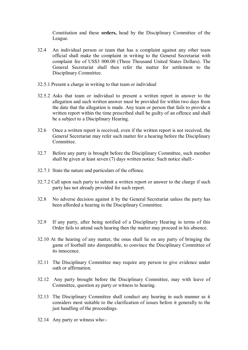Constitution and these **orders,** head by the Disciplinary Committee of the League.

- 32.4 An individual person or team that has a complaint against any other team official shall make the complaint in writing to the General Secretariat with complaint fee of US\$3 000.00 (Three Thousand United States Dollars). The General Secretariat shall then refer the matter for settlement to the Disciplinary Committee.
- 32.5.1 Present a charge in writing to that team or individual
- 32.5.2 Asks that team or individual to present a written report in answer to the allegation and such written answer must be provided for within two days from the date that the allegation is made. Any team or person that fails to provide a written report within the time prescribed shall be guilty of an offence and shall be a subject to a Disciplinary Hearing.
- 32.6 Once a written report is received, even if the written report is not received, the General Secretariat may refer such matter for a hearing before the Disciplinary **Committee**
- 32.7 Before any party is brought before the Disciplinary Committee, such member shall be given at least seven (7) days written notice. Such notice shall:-
- 32.7.1 State the nature and particulars of the offence.
- 32.7.2 Call upon such party to submit a written report or answer to the charge if such party has not already provided for such report.
- 32.8 No adverse decision against it by the General Secretariat unless the party has been afforded a hearing in the Disciplinary Committee.
- 32.9 If any party, after being notified of a Disciplinary Hearing in terms of this Order fails to attend such hearing then the matter may proceed in his absence.
- 32.10 At the hearing of any matter, the onus shall lie on any party of bringing the game of football into disreputable, to convince the Disciplinary Committee of its innocence.
- 32.11 The Disciplinary Committee may require any person to give evidence under oath or affirmation.
- 32.12 Any party brought before the Disciplinary Committee, may with leave of Committee, question ay party or witness to hearing.
- 32.13 The Disciplinary Committee shall conduct any hearing in such manner as it considers most suitable to the clarification of issues before it generally to the just handling of the proceedings.
- 32.14 Any party or witness who:-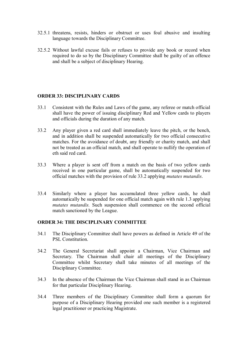- 32.5.1 threatens, resists, hinders or obstruct or uses foul abusive and insulting language towards the Disciplinary Committee.
- 32.5.2 Without lawful excuse fails or refuses to provide any book or record when required to do so by the Disciplinary Committee shall be guilty of an offence and shall be a subject of disciplinary Hearing.

# **ORDER 33: DISCIPLINARY CARDS**

- 33.1 Consistent with the Rules and Laws of the game, any referee or match official shall have the power of issuing disciplinary Red and Yellow cards to players and officials during the duration of any match.
- 33.2 Any player given a red card shall immediately leave the pitch, or the bench, and in addition shall be suspended automatically for two official consecutive matches. For the avoidance of doubt, any friendly or charity match, and shall not be treated as an official match, and shall operate to nullify the operation of eth said red card.
- 33.3 Where a player is sent off from a match on the basis of two yellow cards received in one particular game, shall be automatically suspended for two official matches with the provision of rule 33.2 applying *mutates mutandis*.
- 33.4 Similarly where a player has accumulated three yellow cards, he shall automatically be suspended for one official match again with rule 1.3 applying *mutates mutandis.* Such suspension shall commence on the second official match sanctioned by the League.

#### **ORDER 34: THE DISCIPLINARY COMMITTEE**

- 34.1 The Disciplinary Committee shall have powers as defined in Article 49 of the PSL Constitution.
- 34.2 The General Secretariat shall appoint a Chairman, Vice Chairman and Secretary. The Chairman shall chair all meetings of the Disciplinary Committee whilst Secretary shall take minutes of all meetings of the Disciplinary Committee.
- 34.3 In the absence of the Chairman the Vice Chairman shall stand in as Chairman for that particular Disciplinary Hearing.
- 34.4 Three members of the Disciplinary Committee shall form a quorum for purpose of a Disciplinary Hearing provided one such member is a registered legal practitioner or practicing Magistrate.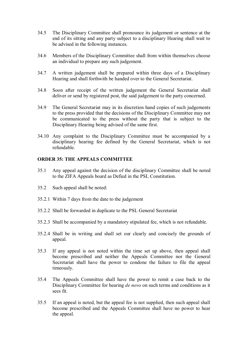- 34.5 The Disciplinary Committee shall pronounce its judgement or sentence at the end of its sitting and any party subject to a disciplinary Hearing shall wait to be advised in the following instances.
- 34.6 Members of the Disciplinary Committee shall from within themselves choose an individual to prepare any such judgement.
- 34.7 A written judgement shall be prepared within three days of a Disciplinary Hearing and shall forthwith be handed over to the General Secretariat.
- 34.8 Soon after receipt of the written judgement the General Secretariat shall deliver or send by registered post, the said judgement to the party concerned.
- 34.9 The General Secretariat may in its discretion hand copies of such judgements to the press provided that the decisions of the Disciplinary Committee may not be communicated to the press without the party that is subject to the Disciplinary Hearing being advised of the same first.
- 34.10 Any complaint to the Disciplinary Committee must be accompanied by a disciplinary hearing fee defined by the General Secretariat, which is not refundable.

# **ORDER 35: THE APPEALS COMMITTEE**

- 35.1 Any appeal against the decision of the disciplinary Committee shall be noted to the ZIFA Appeals board as Defied in the PSL Constitution.
- 35.2 Such appeal shall be noted:
- 35.2.1 Within 7 days from the date to the judgement
- 35.2.2 Shall be forwarded in duplicate to the PSL General Secretariat
- 35.2.3 Shall be accompanied by a mandatory stipulated fee, which is not refundable.
- 35.2.4 Shall be in writing and shall set our clearly and concisely the grounds of appeal.
- 35.3 If any appeal is not noted within the time set up above, then appeal shall become prescribed and neither the Appeals Committee nor the General Secretariat shall have the power to condone the failure to file the appeal timeously.
- 35.4 The Appeals Committee shall have the power to remit a case back to the Disciplinary Committee for hearing *de novo* on such terms and conditions as it sees fit.
- 35.5 If an appeal is noted, but the appeal fee is not supplied, then such appeal shall become prescribed and the Appeals Committee shall have no power to hear the appeal.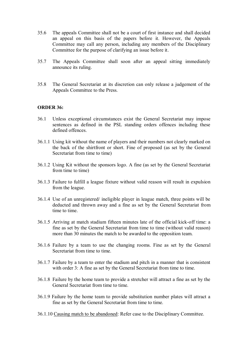- 35.6 The appeals Committee shall not be a court of first instance and shall decided an appeal on this basis of the papers before it. However, the Appeals Committee may call any person, including any members of the Disciplinary Committee for the purpose of clarifying an issue before it.
- 35.7 The Appeals Committee shall soon after an appeal sitting immediately announce its ruling.
- 35.8 The General Secretariat at its discretion can only release a judgement of the Appeals Committee to the Press.

#### **ORDER 36:**

- 36.1 Unless exceptional circumstances exist the General Secretariat may impose sentences as defined in the PSL standing orders offences including these defined offences.
- 36.1.1 Using kit without the name of players and their numbers not clearly marked on the back of the shirtfront or short. Fine of proposed (as set by the General Secretariat from time to time)
- 36.1.2 Using Kit without the sponsors logo. A fine (as set by the General Secretariat from time to time)
- 36.1.3 Failure to fulfill a league fixture without valid reason will result in expulsion from the league.
- 36.1.4 Use of an unregistered/ ineligible player in league match, three points will be deducted and thrown away and a fine as set by the General Secretariat from time to time.
- 36.1.5 Arriving at match stadium fifteen minutes late of the official kick-off time: a fine as set by the General Secretariat from time to time (without valid reason) more than 30 minutes the match to be awarded to the opposition team.
- 36.1.6 Failure by a team to use the changing rooms. Fine as set by the General Secretariat from time to time.
- 36.1.7 Failure by a team to enter the stadium and pitch in a manner that is consistent with order 3: A fine as set by the General Secretariat from time to time.
- 36.1.8 Failure by the home team to provide a stretcher will attract a fine as set by the General Secretariat from time to time.
- 36.1.9 Failure by the home team to provide substitution number plates will attract a fine as set by the General Secretariat from time to time.
- 36.1.10 Causing match to be abandoned: Refer case to the Disciplinary Committee.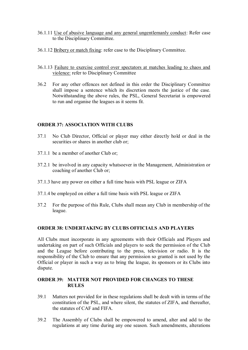- 36.1.11 Use of abusive language and any general ungentlemanly conduct: Refer case to the Disciplinary Committee.
- 36.1.12 Bribery or match fixing: refer case to the Disciplinary Committee.
- 36.1.13 Failure to exercise control over spectators at matches leading to chaos and violence: refer to Disciplinary Committee
- 36.2 For any other offences not defined in this order the Disciplinary Committee shall impose a sentence which its discretion meets the justice of the case. Notwithstanding the above rules, the PSL, General Secretariat is empowered to run and organise the leagues as it seems fit.

# **ORDER 37: ASSOCIATION WITH CLUBS**

- 37.1 No Club Director, Official or player may either directly hold or deal in the securities or shares in another club or;
- 37.1.1 be a member of another Club or;
- 37.2.1 be involved in any capacity whatsoever in the Management, Administration or coaching of another Club or;
- 37.1.3 have any power on either a full time basis with PSL league or ZIFA
- 37.1.4 be employed on either a full time basis with PSL league or ZIFA
- 37.2 For the purpose of this Rule, Clubs shall mean any Club in membership of the league.

# **ORDER 38: UNDERTAKING BY CLUBS OFFICIALS AND PLAYERS**

All Clubs must incorporate in any agreements with their Officials and Players and undertaking on part of such Officials and players to seek the permission of the Club and the League before contributing to the press, television or radio. It is the responsibility of the Club to ensure that any permission so granted is not used by the Official or player in such a way as to bring the league, its sponsors or its Clubs into dispute.

# **ORDER 39: MATTER NOT PROVIDED FOR CHANGES TO THESE RULES**

- 39.1 Matters not provided for in these regulations shall be dealt with in terms of the constitution of the PSL, and where silent, the statutes of ZIFA, and thereafter, the statutes of CAF and FIFA.
- 39.2 The Assembly of Clubs shall be empowered to amend, alter and add to the regulations at any time during any one season. Such amendments, alterations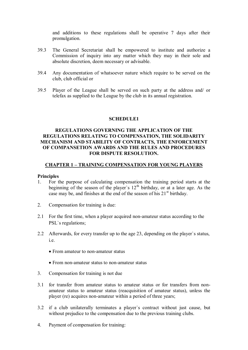and additions to these regulations shall be operative 7 days after their promulgation.

- 39.3 The General Secretariat shall be empowered to institute and authorize a Commission of inquiry into any matter which they may in their sole and absolute discretion, deem necessary or advisable.
- 39.4 Any documentation of whatsoever nature which require to be served on the club, club official or
- 39.5 Player of the League shall be served on such party at the address and/ or telefax as supplied to the League by the club in its annual registration.

#### **SCHEDULE1**

# **REGULATIONS GOVERNING THE APPLICATION OF THE REGULATIONS RELATING TO COMPENSATION, THE SOLIDARITY MECHANISM AND STABILITY OF CONTRACTS, THE ENFORCEMENT OF COMPANSETION AWARDS AND THE RULES AND PROCEDURES FOR DISPUTE RESOLUTION.**

#### **CHAPTER 1 – TRAINING COMPENSATION FOR YOUNG PLAYERS**

#### **Principles**

- 1. For the purpose of calculating compensation the training period starts at the beginning of the season of the player's  $12<sup>th</sup>$  birthday, or at a later age. As the case may be, and finishes at the end of the season of his  $21<sup>st</sup>$  birthday.
- 2. Compensation for training is due:
- 2.1 For the first time, when a player acquired non-amateur status according to the PSL`s regulations;
- 2.2 Afterwards, for every transfer up to the age 23, depending on the player`s status, i.e.
	- From amateur to non-amateur status
	- From non-amateur status to non-amateur status
- 3. Compensation for training is not due
- 3.1 for transfer from amateur status to amateur status or for transfers from nonamateur status to amateur status (reacquisition of amateur status), unless the player (re) acquires non-amateur within a period of three years;
- 3.2 if a club unilaterally terminates a player`s contract without just cause, but without prejudice to the compensation due to the previous training clubs.
- 4. Payment of compensation for training: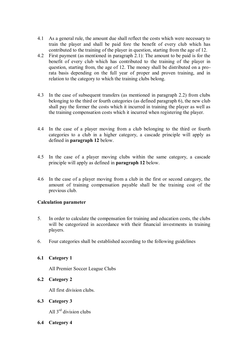- 4.1 As a general rule, the amount due shall reflect the costs which were necessary to train the player and shall be paid fore the benefit of every club which has contributed to the training of the player in question, starting from the age of 12.
- 4.2 First payment (as mentioned in paragraph 2.1): The amount to be paid is for the benefit of every club which has contributed to the training of the player in question, starting from, the age of 12. The money shall be distributed on a prorata basis depending on the full year of proper and proven training, and in relation to the category to which the training clubs belong.
- 4.3 In the case of subsequent transfers (as mentioned in paragraph 2.2) from clubs belonging to the third or fourth categories (as defined paragraph 6), the new club shall pay the former the costs which it incurred in training the player as well as the training compensation costs which it incurred when registering the player.
- 4.4 In the case of a player moving from a club belonging to the third or fourth categories to a club in a higher category, a cascade principle will apply as defined in **paragraph 12** below.
- 4.5 In the case of a player moving clubs within the same category, a cascade principle will apply as defined in **paragraph 12** below.
- 4.6 In the case of a player moving from a club in the first or second category, the amount of training compensation payable shall be the training cost of the previous club.

# **Calculation parameter**

- 5. In order to calculate the compensation for training and education costs, the clubs will be categorized in accordance with their financial investments in training players.
- 6. Four categories shall be established according to the following guidelines

# **6.1 Category 1**

All Premier Soccer League Clubs

# **6.2 Category 2**

All first division clubs.

#### **6.3 Category 3**

All 3rd division clubs

**6.4 Category 4**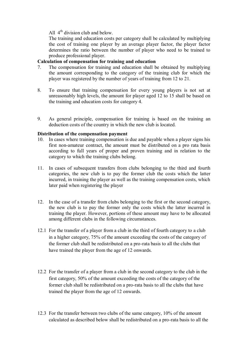All  $4<sup>th</sup>$  division club and below.

The training and education costs per category shall be calculated by multiplying the cost of training one player by an average player factor, the player factor determines the ratio between the number of player who need to be trained to produce professional player.

# **Calculation of compensation for training and education**

- 7. The compensation for training and education shall be obtained by multiplying the amount corresponding to the category of the training club for which the player was registered by the number of years of training from 12 to 21.
- 8. To ensure that training compensation for every young players is not set at unreasonably high levels, the amount for player aged 12 to 15 shall be based on the training and education costs for category 4.
- 9. As general principle, compensation for training is based on the training an deduction costs of the country in which the new club is located.

# **Distribution of the compensation payment**

- 10. In cases where training compensation is due and payable when a player signs his first non-amateur contract, the amount must be distributed on a pro rata basis according to full years of proper and proven training and in relation to the category to which the training clubs belong.
- 11. In cases of subsequent transfers from clubs belonging to the third and fourth categories, the new club is to pay the former club the costs which the latter incurred, in training the player as well as the training compensation costs, which later paid when registering the player
- 12. In the case of a transfer from clubs belonging to the first or the second category, the new club is to pay the former only the costs which the latter incurred in training the player. However, portions of these amount may have to be allocated among different clubs in the following circumstances.
- 12.1 For the transfer of a player from a club in the third of fourth category to a club in a higher category, 75% of the amount exceeding the costs of the category of the former club shall be redistributed on a pro-rata basis to all the clubs that have trained the player from the age of 12 onwards.
- 12.2 For the transfer of a player from a club in the second category to the club in the first category, 50% of the amount exceeding the costs of the category of the former club shall be redistributed on a pro-rata basis to all the clubs that have trained the player from the age of 12 onwards.
- 12.3 For the transfer between two clubs of the same category, 10% of the amount calculated as described below shall be redistributed on a pro-rata basis to all the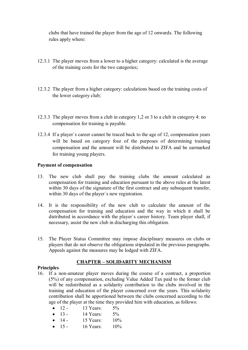clubs that have trained the player from the age of 12 onwards. The following rules apply where:

- 12.3.1 The player moves from a lower to a higher category: calculated is the average of the training costs for the two categories;
- 12.3.2 The player from a higher category: calculations based on the training costs of the lower category club;
- 12.3.3 The player moves from a club in category 1,2 or 3 to a club in category 4: no compensation for training is payable.
- 12.3.4 If a player`s career cannot be traced back to the age of 12, compensation years will be based on category four of the purposes of determining training compensation and the amount will be distributed to ZIFA and be earmarked for training young players.

# **Payment of compensation**

- 13. The new club shall pay the training clubs the amount calculated as compensation for training and education pursuant to the above rules at the latest within 30 days of the signature of the first contract and any subsequent transfer, within 30 days of the player`s new registration.
- 14. It is the responsibility of the new club to calculate the amount of the compensation for training and education and the way in which it shall be distributed in accordance with the player`s career history. Team player shall, if necessary, assist the new club in discharging this obligation.
- 15. The Player Status Committee may impose disciplinary measures on clubs or players that do not observe the obligations stipulated in the previous paragraphs. Appeals against the measures may be lodged with ZIFA.

# **CHAPTER – SOLIDARITY MECHANISM**

#### **Principles**

16. If a non-amateur player moves during the course of a contract, a proportion (5%) of any compensation, excluding Value Added Tax paid to the former club will be redistributed as a solidarity contribution to the clubs involved in the training and education of the player concerned over the years. This solidarity contribution shall be apportioned between the clubs concerned according to the age of the player at the time they provided him with education, as follows:

| $\bullet$ | $12 -$        | 13 Years: | $5\%$  |
|-----------|---------------|-----------|--------|
|           | $\bullet$ 13. | 14 Years: | $5\%$  |
|           | $\bullet$ 14. | 15 Years: | $10\%$ |
| $\bullet$ | $15 -$        | 16 Years: | $10\%$ |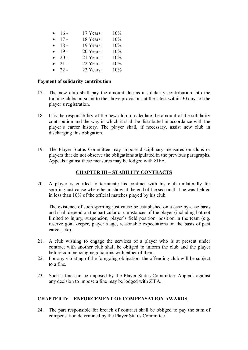|           | $16 -$ | 17 Years: | 10% |
|-----------|--------|-----------|-----|
| $\bullet$ | $17 -$ | 18 Years: | 10% |
| $\bullet$ | $18 -$ | 19 Years: | 10% |
|           | $-19$  | 20 Years: | 10% |
|           | $20 -$ | 21 Years: | 10% |
|           | $21 -$ | 22 Years: | 10% |
|           | $22 -$ | 23 Years: | 10% |

# **Payment of solidarity contribution**

- 17. The new club shall pay the amount due as a solidarity contribution into the training clubs pursuant to the above provisions at the latest within 30 days of the player`s registration.
- 18. It is the responsibility of the new club to calculate the amount of the solidarity contribution and the way in which it shall be distributed in accordance with the player`s career history. The player shall, if necessary, assist new club in discharging this obligation.
- 19. The Player Status Committee may impose disciplinary measures on clubs or players that do not observe the obligations stipulated in the previous paragraphs. Appeals against these measures may be lodged with ZIFA.

# **CHAPTER III – STABILITY CONTRACTS**

20. A player is entitled to terminate his contract with his club unilaterally for sporting just cause where he an show at the end of the season that he was fielded in less than 10% of the official matches played by his club.

The existence of such sporting just cause be established on a case by-case basis and shall depend on the particular circumstances of the player (including but not limited to injury, suspension, player`s field position, position in the team (e.g. reserve goal keeper, player`s age, reasonable expectations on the basis of past career, etc).

- 21. A club wishing to engage the services of a player who is at present under contract with another club shall be obliged to inform the club and the player before commencing negotiations with either of them.
- 22. For any violating of the foregoing obligation, the offending club will be subject to a fine.
- 23. Such a fine can be imposed by the Player Status Committee. Appeals against any decision to impose a fine may be lodged with ZIFA.

# **CHAPTER IV – ENFORCEMENT OF COMPENSATION AWARDS**

24. The part responsible for breach of contract shall be obliged to pay the sum of compensation determined by the Player Status Committee.